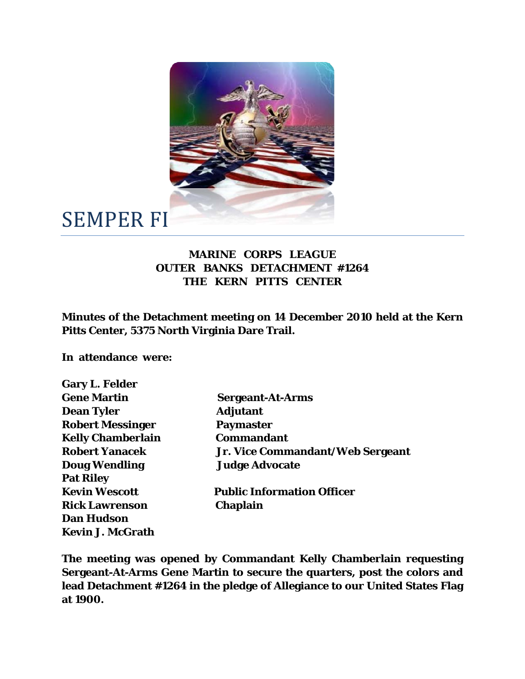

## SEMPER FI

## **MARINE CORPS LEAGUE OUTER BANKS DETACHMENT #1264 THE KERN PITTS CENTER**

**Minutes of the Detachment meeting on 14 December 2010 held at the Kern Pitts Center, 5375 North Virginia Dare Trail.** 

**In attendance were:** 

| <b>Gary L. Felder</b>    |                                   |
|--------------------------|-----------------------------------|
| <b>Gene Martin</b>       | <b>Sergeant-At-Arms</b>           |
| <b>Dean Tyler</b>        | <b>Adjutant</b>                   |
| <b>Robert Messinger</b>  | <b>Paymaster</b>                  |
| <b>Kelly Chamberlain</b> | <b>Commandant</b>                 |
| <b>Robert Yanacek</b>    | Jr. Vice Commandant/Web Sergeant  |
| <b>Doug Wendling</b>     | <b>Judge Advocate</b>             |
| <b>Pat Riley</b>         |                                   |
| <b>Kevin Wescott</b>     | <b>Public Information Officer</b> |
| <b>Rick Lawrenson</b>    | Chaplain                          |
| <b>Dan Hudson</b>        |                                   |
| <b>Kevin J. McGrath</b>  |                                   |

**The meeting was opened by Commandant Kelly Chamberlain requesting Sergeant-At-Arms Gene Martin to secure the quarters, post the colors and lead Detachment #1264 in the pledge of Allegiance to our United States Flag at 1900.**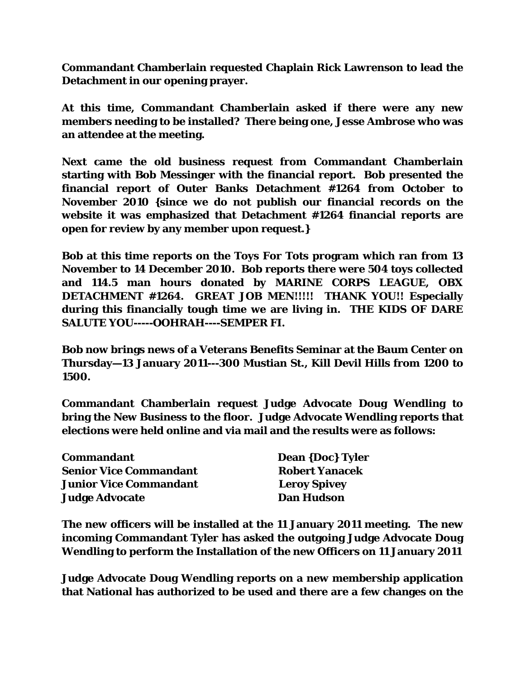**Commandant Chamberlain requested Chaplain Rick Lawrenson to lead the Detachment in our opening prayer.** 

**At this time, Commandant Chamberlain asked if there were any new members needing to be installed? There being one, Jesse Ambrose who was an attendee at the meeting.** 

**Next came the old business request from Commandant Chamberlain starting with Bob Messinger with the financial report. Bob presented the financial report of Outer Banks Detachment #1264 from October to November 2010 {since we do not publish our financial records on the website it was emphasized that Detachment #1264 financial reports are open for review by any member upon request.}** 

**Bob at this time reports on the Toys For Tots program which ran from 13 November to 14 December 2010. Bob reports there were 504 toys collected and 114.5 man hours donated by MARINE CORPS LEAGUE, OBX DETACHMENT #1264. GREAT JOB MEN!!!!! THANK YOU!! Especially during this financially tough time we are living in. THE KIDS OF DARE SALUTE YOU-----OOHRAH----SEMPER FI.** 

**Bob now brings news of a Veterans Benefits Seminar at the Baum Center on Thursday—13 January 2011---300 Mustian St., Kill Devil Hills from 1200 to 1500.** 

**Commandant Chamberlain request Judge Advocate Doug Wendling to bring the New Business to the floor. Judge Advocate Wendling reports that elections were held online and via mail and the results were as follows:** 

| Commandant                    | <b>Dean {Doc} Tyler</b> |
|-------------------------------|-------------------------|
| <b>Senior Vice Commandant</b> | <b>Robert Yanacek</b>   |
| <b>Junior Vice Commandant</b> | <b>Leroy Spivey</b>     |
| <b>Judge Advocate</b>         | <b>Dan Hudson</b>       |

**The new officers will be installed at the 11 January 2011 meeting. The new incoming Commandant Tyler has asked the outgoing Judge Advocate Doug Wendling to perform the Installation of the new Officers on 11 January 2011** 

**Judge Advocate Doug Wendling reports on a new membership application that National has authorized to be used and there are a few changes on the**